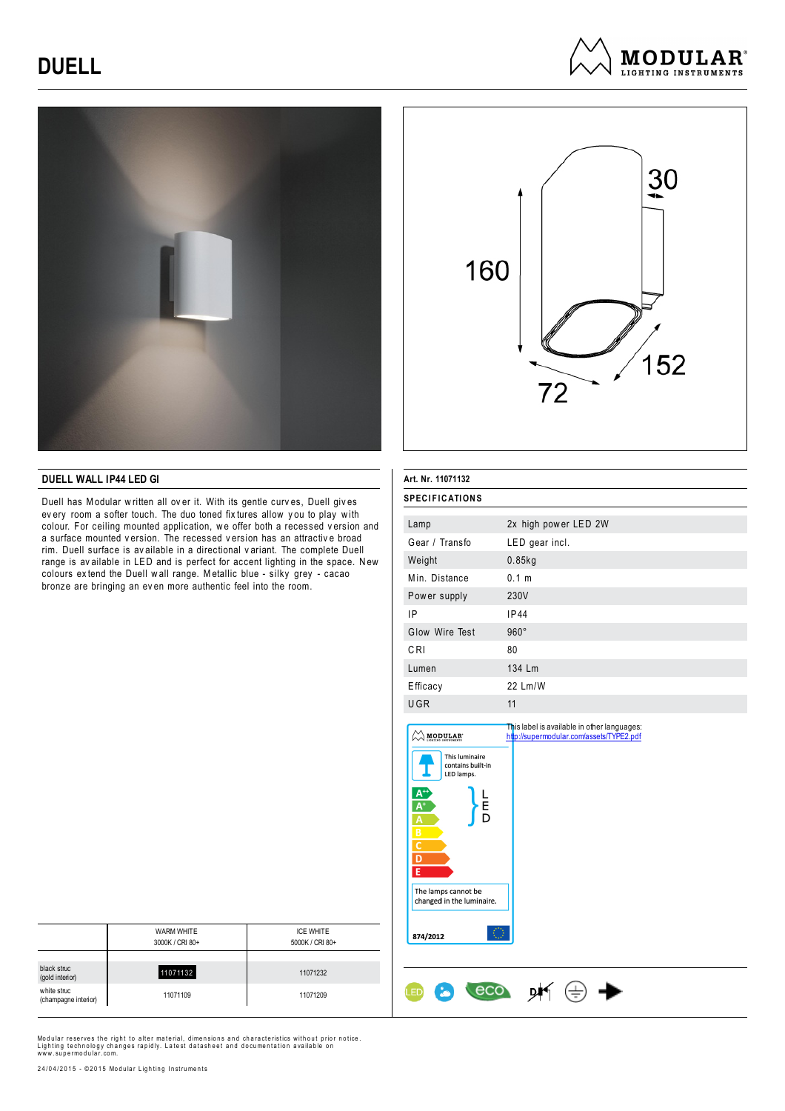# **DUELL**







### **DUELL WALL IP44 LED GI**

Duell has Modular w ritten all ov er it. With its gentle curv es, Duell giv es every room a softer touch. The duo toned fix tures allow you to play with colour. For ceiling mounted application, we offer both a recessed version and a surface mounted v ersion. The recessed v ersion has an attractiv e broad rim. Duell surface is av ailable in a directional v ariant. The complete Duell range is av ailable in LED and is perfect for accent lighting in the space. New colours ex tend the Duell w all range. Metallic blue - silky grey - cacao bronze are bringing an ev en more authentic feel into the room.

| Art. Nr. 11071132<br><b>SPECIFICATIONS</b>                                                                                                |                                                                                         |  |
|-------------------------------------------------------------------------------------------------------------------------------------------|-----------------------------------------------------------------------------------------|--|
|                                                                                                                                           |                                                                                         |  |
| Gear / Transfo                                                                                                                            | LED gear incl.                                                                          |  |
| Weight                                                                                                                                    | $0.85$ kg                                                                               |  |
| Min. Distance                                                                                                                             | 0.1 <sub>m</sub>                                                                        |  |
| Power supply                                                                                                                              | 230V                                                                                    |  |
| IP                                                                                                                                        | IP44                                                                                    |  |
| Glow Wire Test                                                                                                                            | $960^\circ$                                                                             |  |
| CRI                                                                                                                                       | 80                                                                                      |  |
| Lumen                                                                                                                                     | 134 Lm                                                                                  |  |
| Efficacy                                                                                                                                  | 22 Lm/W                                                                                 |  |
| <b>UGR</b>                                                                                                                                | 11                                                                                      |  |
| <b>MODULAR</b><br>This luminaire<br>contains built-in<br>LED lamps.<br>$A^{+}$<br>$A^{+}$<br>는<br>D<br>A<br>$rac{B}{C}$<br>$\overline{D}$ | This label is available in other languages:<br>http://supermodular.com/assets/TYPE2.pdf |  |

 $M \oplus \blacktriangleright$ 

Ŀ

874/2012

ŒD

The lamps cannot be changed in the luminaire

8

eco

|                                     | <b>WARM WHITE</b> | <b>ICE WHITE</b> |
|-------------------------------------|-------------------|------------------|
|                                     | 3000K / CRI 80+   | 5000K / CRI 80+  |
|                                     |                   |                  |
| black struc<br>(gold interior)      | 11071132          | 11071232         |
| white struc<br>(champagne interior) | 11071109          | 11071209         |

Modular reserves the right to alter material, dimensions and characteristics without prior notice. Lighting technology changes rapidly. Latest datasheet and documentation available on<br>www.supermodular.com.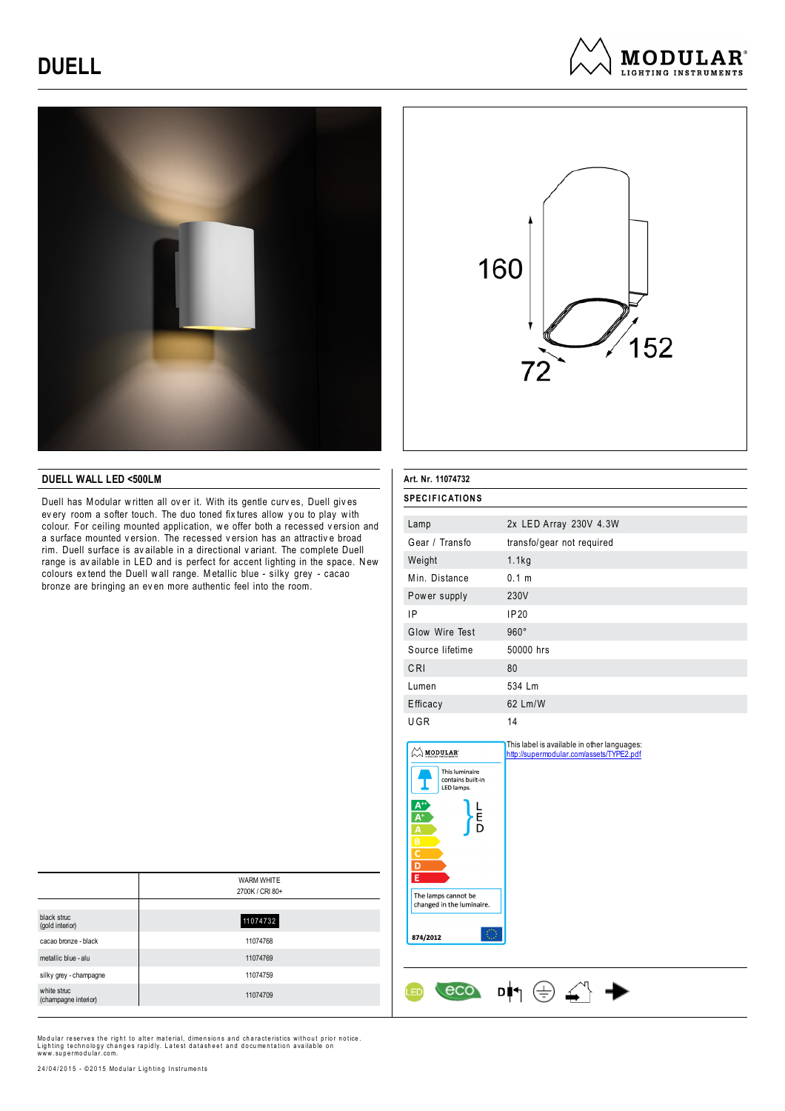## **DUELL**







### **DUELL WALL LED <500LM**

Duell has Modular w ritten all ov er it. With its gentle curv es, Duell giv es every room a softer touch. The duo toned fix tures allow you to play with colour. For ceiling mounted application, we offer both a recessed version and a surface mounted v ersion. The recessed v ersion has an attractiv e broad rim. Duell surface is av ailable in a directional v ariant. The complete Duell range is av ailable in LED and is perfect for accent lighting in the space. N ew colours ex tend the Duell w all range. Metallic blue - silky grey - cacao bronze are bringing an ev en more authentic feel into the room.

| Lamp                                                                                                                                                                                   | 2x LED Array 230V 4.3W    |
|----------------------------------------------------------------------------------------------------------------------------------------------------------------------------------------|---------------------------|
| Gear / Transfo                                                                                                                                                                         | transfo/gear not required |
| Weight                                                                                                                                                                                 | 1.1kg                     |
| Min. Distance                                                                                                                                                                          | 0.1 m                     |
| Power supply                                                                                                                                                                           | 230V                      |
| IP                                                                                                                                                                                     | <b>IP20</b>               |
| Glow Wire Test                                                                                                                                                                         | $960^\circ$               |
| Source lifetime                                                                                                                                                                        | 50000 hrs                 |
| CRI                                                                                                                                                                                    | 80                        |
| Lumen                                                                                                                                                                                  | 534 Lm                    |
| Efficacy                                                                                                                                                                               | 62 Lm/W                   |
| UGR                                                                                                                                                                                    | 14                        |
| This luminaire<br>contains built-in<br>LED lamps.<br>Ē<br>D<br>B<br>$\overline{c}$<br>$\overline{D}$<br>$\overline{E}$<br>The lamps cannot be<br>changed in the luminaire.<br>874/2012 |                           |
|                                                                                                                                                                                        |                           |

**SPECIFICATIONS** 

|                                     | <b>WARM WHITE</b> |
|-------------------------------------|-------------------|
|                                     | 2700K / CRI 80+   |
|                                     |                   |
| black struc<br>(gold interior)      | 11074732          |
| cacao bronze - black                | 11074768          |
| metallic blue - alu                 | 11074769          |
| silky grey - champagne              | 11074759          |
| white struc<br>(champagne interior) | 11074709          |

Modular reserves the right to alter material, dimensions and characteristics without prior notice.<br>Lighting technology changes rapidly. Latest datasheet and documentation available on<br>www.supermodular.com.

24/04/2015 - ©2015 Modular Lighting Instruments